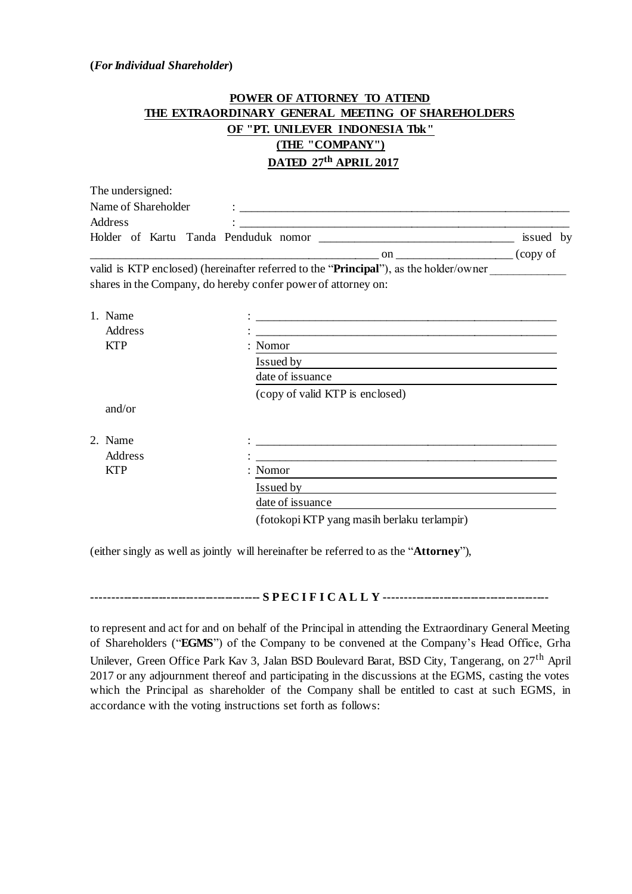## **(***For Individual Shareholder***)**

## **POWER OF ATTORNEY TO ATTEND THE EXTRAORDINARY GENERAL MEETING OF SHAREHOLDERS OF "PT. UNILEVER INDONESIA Tbk" (THE "COMPANY") DATED 27th APRIL 2017**

| The undersigned:                     |    |           |
|--------------------------------------|----|-----------|
| Name of Shareholder                  |    |           |
| Address                              |    |           |
| Holder of Kartu Tanda Penduduk nomor |    | issued by |
|                                      | on | (copy of  |

valid is KTP enclosed) (hereinafter referred to the "**Principal**"), as the holder/owner shares in the Company, do hereby confer power of attorney on:

| 1. Name<br>Address |                                                                                                                                 |  |  |  |  |
|--------------------|---------------------------------------------------------------------------------------------------------------------------------|--|--|--|--|
| <b>KTP</b>         | <u> 2000 - 2000 - 2000 - 2000 - 2000 - 2000 - 2000 - 2000 - 2000 - 2000 - 2000 - 2000 - 2000 - 2000 - 2000 - 200</u><br>: Nomor |  |  |  |  |
|                    | Issued by                                                                                                                       |  |  |  |  |
|                    | date of issuance                                                                                                                |  |  |  |  |
|                    | (copy of valid KTP is enclosed)                                                                                                 |  |  |  |  |
| and/or             |                                                                                                                                 |  |  |  |  |
| 2. Name            |                                                                                                                                 |  |  |  |  |
| Address            |                                                                                                                                 |  |  |  |  |
| <b>KTP</b>         | : Nomor                                                                                                                         |  |  |  |  |
|                    | Issued by                                                                                                                       |  |  |  |  |
|                    | date of issuance                                                                                                                |  |  |  |  |
|                    | (fotokopi KTP yang masih berlaku terlampir)                                                                                     |  |  |  |  |

(either singly as well as jointly will hereinafter be referred to as the "**Attorney**"),

**------------------------------------------- S P E C I F I C A L L Y ------------------------------------------**

to represent and act for and on behalf of the Principal in attending the Extraordinary General Meeting of Shareholders ("**EGMS**") of the Company to be convened at the Company's Head Office, Grha Unilever, Green Office Park Kav 3, Jalan BSD Boulevard Barat, BSD City, Tangerang, on 27th April 2017 or any adjournment thereof and participating in the discussions at the EGMS, casting the votes which the Principal as shareholder of the Company shall be entitled to cast at such EGMS, in accordance with the voting instructions set forth as follows: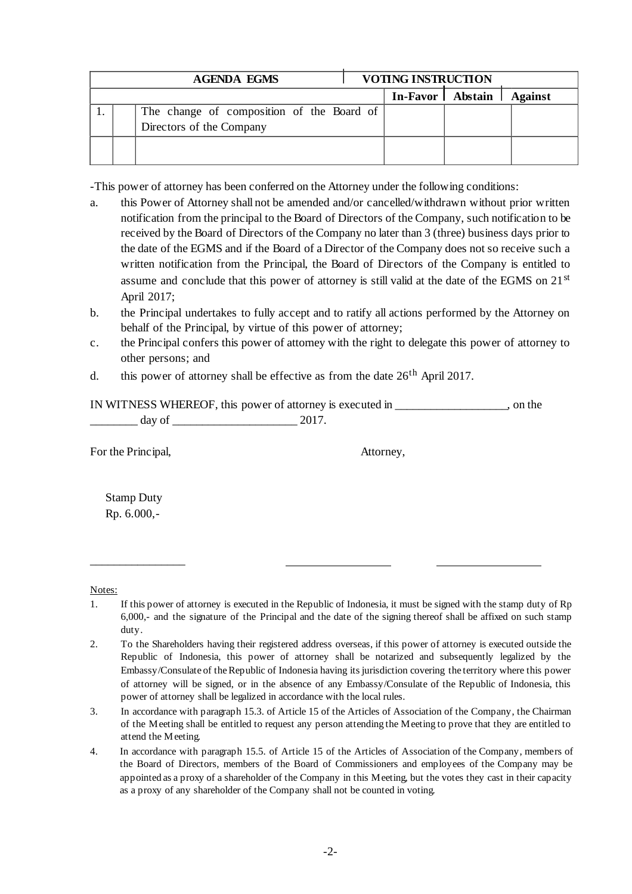| <b>AGENDA EGMS</b> |  | <b>VOTING INSTRUCTION</b>                 |  |  |                              |  |
|--------------------|--|-------------------------------------------|--|--|------------------------------|--|
|                    |  |                                           |  |  | In-Favor   Abstain   Against |  |
|                    |  | The change of composition of the Board of |  |  |                              |  |
|                    |  | Directors of the Company                  |  |  |                              |  |
|                    |  |                                           |  |  |                              |  |
|                    |  |                                           |  |  |                              |  |

-This power of attorney has been conferred on the Attorney under the following conditions:

- a. this Power of Attorney shall not be amended and/or cancelled/withdrawn without prior written notification from the principal to the Board of Directors of the Company, such notification to be received by the Board of Directors of the Company no later than 3 (three) business days prior to the date of the EGMS and if the Board of a Director of the Company does not so receive such a written notification from the Principal, the Board of Directors of the Company is entitled to assume and conclude that this power of attorney is still valid at the date of the EGMS on 21<sup>st</sup> April 2017;
- b. the Principal undertakes to fully accept and to ratify all actions performed by the Attorney on behalf of the Principal, by virtue of this power of attorney;
- c. the Principal confers this power of attorney with the right to delegate this power of attorney to other persons; and
- d. this power of attorney shall be effective as from the date  $26<sup>th</sup>$  April 2017.

|        | IN WITNESS WHEREOF, this power of attorney is executed in | on the |
|--------|-----------------------------------------------------------|--------|
| day of |                                                           |        |

For the Principal,  $\blacksquare$ 

Stamp Duty Rp. 6.000,-

\_\_\_\_\_\_\_\_\_\_\_\_\_\_\_\_

Notes:

- 1. If this power of attorney is executed in the Republic of Indonesia, it must be signed with the stamp duty of Rp 6,000,- and the signature of the Principal and the date of the signing thereof shall be affixed on such stamp duty.
- 2. To the Shareholders having their registered address overseas, if this power of attorney is executed outside the Republic of Indonesia, this power of attorney shall be notarized and subsequently legalized by the Embassy/Consulate of the Republic of Indonesia having its jurisdiction covering the territory where this power of attorney will be signed, or in the absence of any Embassy/Consulate of the Republic of Indonesia, this power of attorney shall be legalized in accordance with the local rules.
- 3. In accordance with paragraph 15.3. of Article 15 of the Articles of Association of the Company, the Chairman of the Meeting shall be entitled to request any person attending the Meeting to prove that they are entitled to attend the Meeting.
- 4. In accordance with paragraph 15.5. of Article 15 of the Articles of Association of the Company, members of the Board of Directors, members of the Board of Commissioners and employees of the Company may be appointed as a proxy of a shareholder of the Company in this Meeting, but the votes they cast in their capacity as a proxy of any shareholder of the Company shall not be counted in voting.